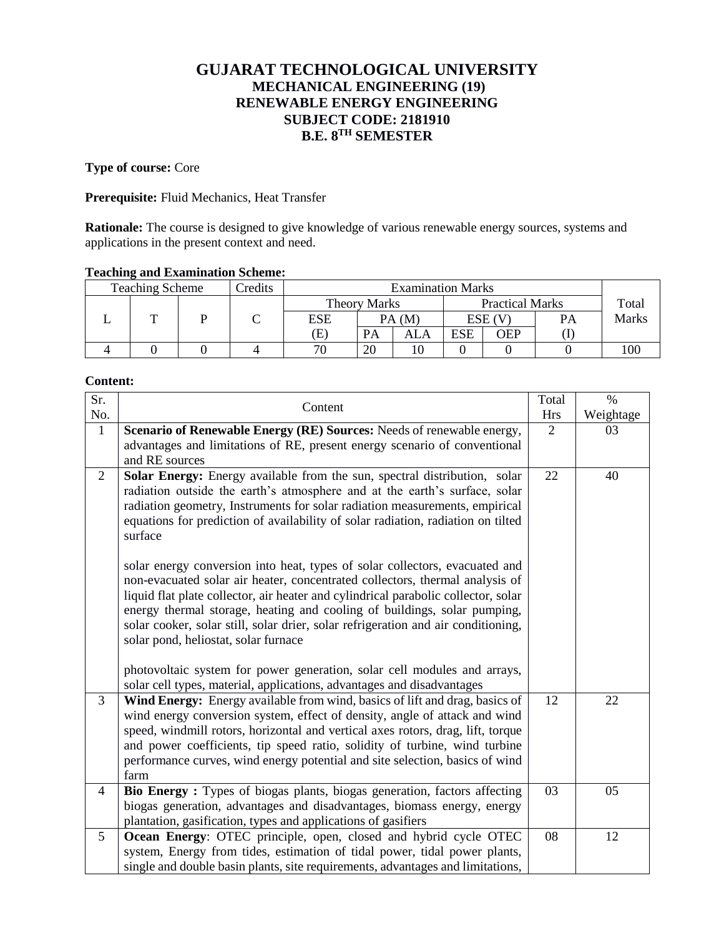# **GUJARAT TECHNOLOGICAL UNIVERSITY MECHANICAL ENGINEERING (19) RENEWABLE ENERGY ENGINEERING SUBJECT CODE: 2181910 B.E. 8TH SEMESTER**

#### **Type of course:** Core

## **Prerequisite:** Fluid Mechanics, Heat Transfer

**Rationale:** The course is designed to give knowledge of various renewable energy sources, systems and applications in the present context and need.

#### **Teaching and Examination Scheme:**

| Credits<br><b>Teaching Scheme</b><br><b>Examination Marks</b> |  |  |                     |           |     |                        |     |       |              |
|---------------------------------------------------------------|--|--|---------------------|-----------|-----|------------------------|-----|-------|--------------|
|                                                               |  |  | <b>Theory Marks</b> |           |     | <b>Practical Marks</b> |     | Total |              |
| <b>m</b>                                                      |  |  | <b>ESE</b>          | PA(M)     |     | $ESE$ (V)              |     | PA    | <b>Marks</b> |
|                                                               |  |  | Έ)                  | <b>PA</b> | ALA | <b>ESE</b>             | OEP |       |              |
|                                                               |  |  | 71                  | 20        |     |                        |     |       | 100          |

#### **Content:**

| Sr.            | Content                                                                                                                                                                                                                                                                                                                                                                                                                                                    |    | $\%$      |
|----------------|------------------------------------------------------------------------------------------------------------------------------------------------------------------------------------------------------------------------------------------------------------------------------------------------------------------------------------------------------------------------------------------------------------------------------------------------------------|----|-----------|
| No.            |                                                                                                                                                                                                                                                                                                                                                                                                                                                            |    | Weightage |
| $\mathbf{1}$   | Scenario of Renewable Energy (RE) Sources: Needs of renewable energy,                                                                                                                                                                                                                                                                                                                                                                                      |    | 03        |
|                | advantages and limitations of RE, present energy scenario of conventional                                                                                                                                                                                                                                                                                                                                                                                  |    |           |
|                | and RE sources                                                                                                                                                                                                                                                                                                                                                                                                                                             |    |           |
| $\overline{2}$ | Solar Energy: Energy available from the sun, spectral distribution, solar<br>radiation outside the earth's atmosphere and at the earth's surface, solar<br>radiation geometry, Instruments for solar radiation measurements, empirical<br>equations for prediction of availability of solar radiation, radiation on tilted<br>surface                                                                                                                      | 22 | 40        |
|                | solar energy conversion into heat, types of solar collectors, evacuated and<br>non-evacuated solar air heater, concentrated collectors, thermal analysis of<br>liquid flat plate collector, air heater and cylindrical parabolic collector, solar<br>energy thermal storage, heating and cooling of buildings, solar pumping,<br>solar cooker, solar still, solar drier, solar refrigeration and air conditioning,<br>solar pond, heliostat, solar furnace |    |           |
|                | photovoltaic system for power generation, solar cell modules and arrays,<br>solar cell types, material, applications, advantages and disadvantages                                                                                                                                                                                                                                                                                                         |    |           |
| $\overline{3}$ | Wind Energy: Energy available from wind, basics of lift and drag, basics of<br>wind energy conversion system, effect of density, angle of attack and wind<br>speed, windmill rotors, horizontal and vertical axes rotors, drag, lift, torque<br>and power coefficients, tip speed ratio, solidity of turbine, wind turbine<br>performance curves, wind energy potential and site selection, basics of wind<br>farm                                         | 12 | 22        |
| 4              | Bio Energy: Types of biogas plants, biogas generation, factors affecting                                                                                                                                                                                                                                                                                                                                                                                   | 03 | 05        |
|                | biogas generation, advantages and disadvantages, biomass energy, energy<br>plantation, gasification, types and applications of gasifiers                                                                                                                                                                                                                                                                                                                   |    |           |
| 5              | Ocean Energy: OTEC principle, open, closed and hybrid cycle OTEC<br>system, Energy from tides, estimation of tidal power, tidal power plants,<br>single and double basin plants, site requirements, advantages and limitations,                                                                                                                                                                                                                            | 08 | 12        |